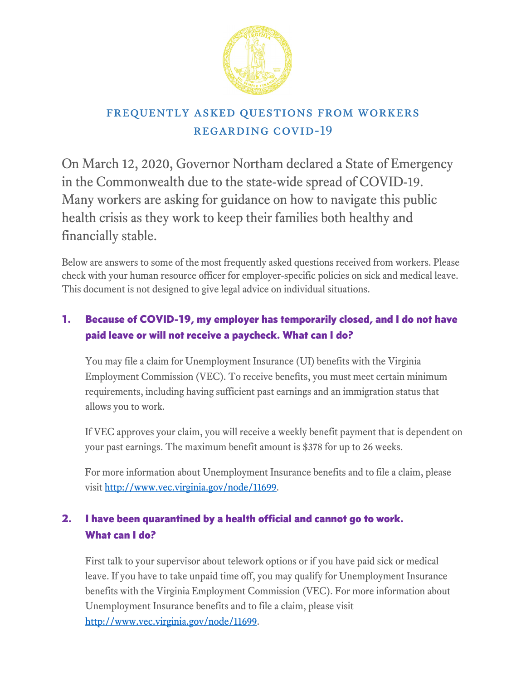

# frequently asked questions from workers regarding covid-19

On March 12, 2020, Governor Northam declared a State of Emergency in the Commonwealth due to the state-wide spread of COVID-19. Many workers are asking for guidance on how to navigate this public health crisis as they work to keep their families both healthy and financially stable.

Below are answers to some of the most frequently asked questions received from workers. Please check with your human resource officer for employer-specific policies on sick and medical leave. This document is not designed to give legal advice on individual situations.

## 1. Because of COVID-19, my employer has temporarily closed, and I do not have paid leave or will not receive a paycheck. What can I do?

You may file a claim for Unemployment Insurance (UI) benefits with the Virginia Employment Commission (VEC). To receive benefits, you must meet certain minimum requirements, including having sufficient past earnings and an immigration status that allows you to work.

If VEC approves your claim, you will receive a weekly benefit payment that is dependent on your past earnings. The maximum benefit amount is \$378 for up to 26 weeks.

For more information about Unemployment Insurance benefits and to file a claim, please visit [http://www.vec.virginia.gov/node/11699.](http://www.vec.virginia.gov/node/11699)

# 2. I have been quarantined by a health official and cannot go to work. What can I do?

First talk to your supervisor about telework options or if you have paid sick or medical leave. If you have to take unpaid time off, you may qualify for Unemployment Insurance benefits with the Virginia Employment Commission (VEC). For more information about Unemployment Insurance benefits and to file a claim, please visit [http://www.vec.virginia.gov/node/11699.](http://www.vec.virginia.gov/node/11699)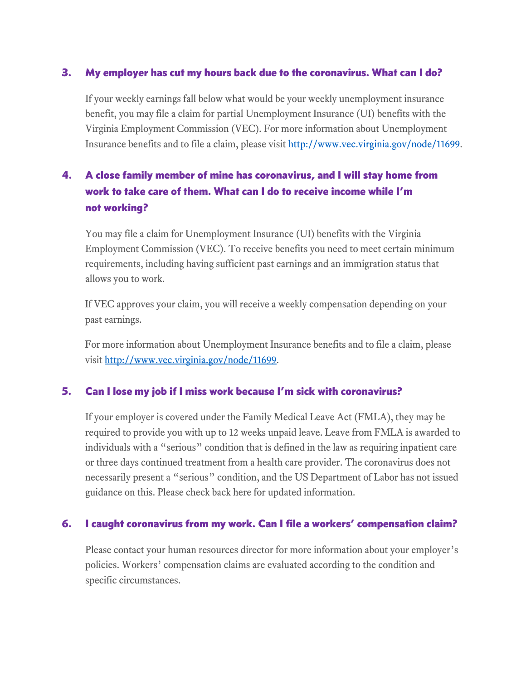#### 3. My employer has cut my hours back due to the coronavirus. What can I do?

If your weekly earnings fall below what would be your weekly unemployment insurance benefit, you may file a claim for partial Unemployment Insurance (UI) benefits with the Virginia Employment Commission (VEC). For more information about Unemployment Insurance benefits and to file a claim, please visi[t http://www.vec.virginia.gov/node/11699.](http://www.vec.virginia.gov/node/11699)

## 4. A close family member of mine has coronavirus, and I will stay home from work to take care of them. What can I do to receive income while I'm not working?

You may file a claim for Unemployment Insurance (UI) benefits with the Virginia Employment Commission (VEC). To receive benefits you need to meet certain minimum requirements, including having sufficient past earnings and an immigration status that allows you to work.

If VEC approves your claim, you will receive a weekly compensation depending on your past earnings.

For more information about Unemployment Insurance benefits and to file a claim, please visit [http://www.vec.virginia.gov/node/11699.](http://www.vec.virginia.gov/node/11699)

#### 5. Can I lose my job if I miss work because I'm sick with coronavirus?

If your employer is covered under the Family Medical Leave Act (FMLA), they may be required to provide you with up to 12 weeks unpaid leave. Leave from FMLA is awarded to individuals with a "serious" condition that is defined in the law as requiring inpatient care or three days continued treatment from a health care provider. The coronavirus does not necessarily present a "serious" condition, and the US Department of Labor has not issued guidance on this. Please check back here for updated information.

#### 6. I caught coronavirus from my work. Can I file a workers' compensation claim?

Please contact your human resources director for more information about your employer's policies. Workers' compensation claims are evaluated according to the condition and specific circumstances.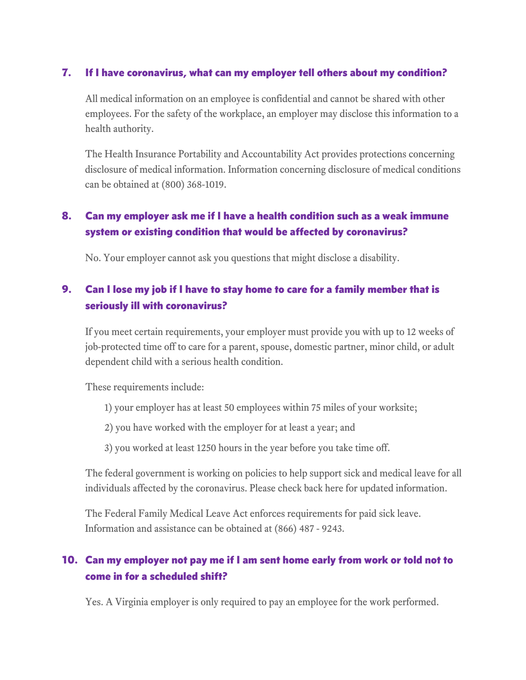#### 7. If I have coronavirus, what can my employer tell others about my condition?

All medical information on an employee is confidential and cannot be shared with other employees. For the safety of the workplace, an employer may disclose this information to a health authority.

The Health Insurance Portability and Accountability Act provides protections concerning disclosure of medical information. Information concerning disclosure of medical conditions can be obtained at (800) 368-1019.

## 8. Can my employer ask me if I have a health condition such as a weak immune system or existing condition that would be affected by coronavirus?

No. Your employer cannot ask you questions that might disclose a disability.

### 9. Can I lose my job if I have to stay home to care for a family member that is seriously ill with coronavirus?

If you meet certain requirements, your employer must provide you with up to 12 weeks of job-protected time off to care for a parent, spouse, domestic partner, minor child, or adult dependent child with a serious health condition.

These requirements include:

- 1) your employer has at least 50 employees within 75 miles of your worksite;
- 2) you have worked with the employer for at least a year; and
- 3) you worked at least 1250 hours in the year before you take time off.

The federal government is working on policies to help support sick and medical leave for all individuals affected by the coronavirus. Please check back here for updated information.

The Federal Family Medical Leave Act enforces requirements for paid sick leave. Information and assistance can be obtained at (866) 487 - 9243.

### 10. Can my employer not pay me if I am sent home early from work or told not to come in for a scheduled shift?

Yes. A Virginia employer is only required to pay an employee for the work performed.